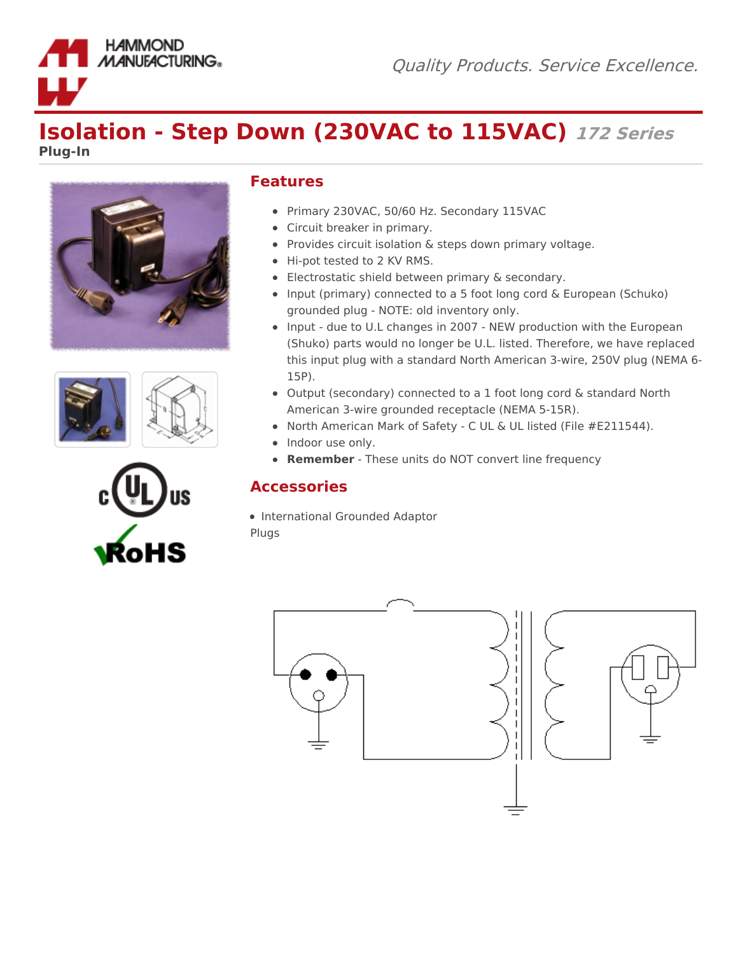



**HAMMOND MANUFACTURING.** 





## **Features**

- Primary 230VAC, 50/60 Hz. Secondary 115VAC
- Circuit breaker in primary.
- Provides circuit isolation & steps down primary voltage.
- Hi-pot tested to 2 KV RMS.
- Electrostatic shield between primary & secondary.
- Input (primary) connected to a 5 foot long cord & European (Schuko) grounded plug - NOTE: old inventory only.
- Input due to U.L changes in 2007 NEW production with the European (Shuko) parts would no longer be U.L. listed. Therefore, we have replaced this input plug with a standard North American 3-wire, 250V plug (NEMA 6- 15P).
- Output (secondary) connected to a 1 foot long cord & standard North American 3-wire grounded receptacle (NEMA 5-15R).
- North American Mark of Safety C UL & UL listed (File #E211544).
- Indoor use only.
- **Remember** These units do NOT convert line frequency

## **Accessories**

• International Grounded Adaptor Plugs